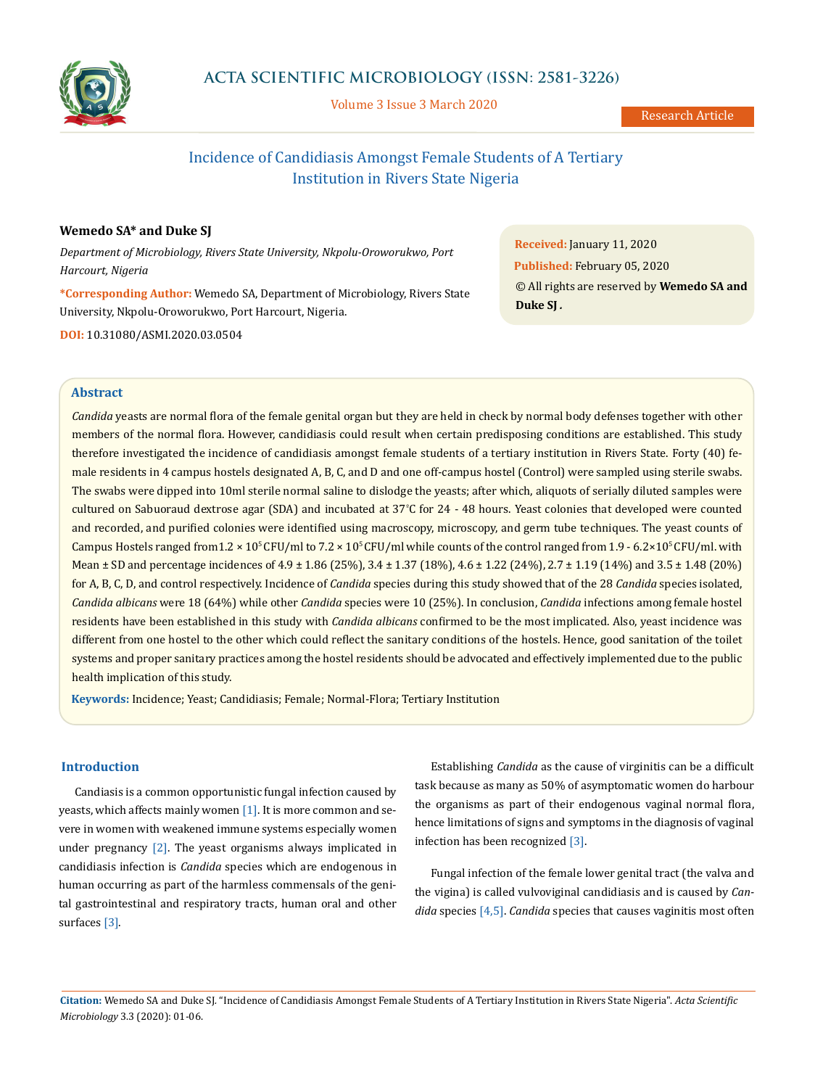

# **ACTA SCIENTIFIC MICROBIOLOGY (ISSN: 2581-3226)**

Volume 3 Issue 3 March 2020

# Incidence of Candidiasis Amongst Female Students of A Tertiary Institution in Rivers State Nigeria

# **Wemedo SA\* and Duke SJ**

*Department of Microbiology, Rivers State University, Nkpolu-Oroworukwo, Port Harcourt, Nigeria*

**\*Corresponding Author:** Wemedo SA, Department of Microbiology, Rivers State University, Nkpolu-Oroworukwo, Port Harcourt, Nigeria. **DOI:** [10.31080/ASMI.2020.03.0504](https://actascientific.com/ASMI/pdf/ASMI-03-0504.pdf)

**Received:** January 11, 2020 **Published:** February 05, 2020 © All rights are reserved by **Wemedo SA and Duke SJ** *.*

#### **Abstract**

*Candida* yeasts are normal flora of the female genital organ but they are held in check by normal body defenses together with other members of the normal flora. However, candidiasis could result when certain predisposing conditions are established. This study therefore investigated the incidence of candidiasis amongst female students of a tertiary institution in Rivers State. Forty (40) female residents in 4 campus hostels designated A, B, C, and D and one off-campus hostel (Control) were sampled using sterile swabs. The swabs were dipped into 10ml sterile normal saline to dislodge the yeasts; after which, aliquots of serially diluted samples were cultured on Sabuoraud dextrose agar (SDA) and incubated at 37<sup>º</sup> C for 24 - 48 hours. Yeast colonies that developed were counted and recorded, and purified colonies were identified using macroscopy, microscopy, and germ tube techniques. The yeast counts of Campus Hostels ranged from  $1.2 \times 10^5$  CFU/ml to  $7.2 \times 10^5$  CFU/ml while counts of the control ranged from  $1.9 - 6.2 \times 10^5$  CFU/ml. with Mean  $\pm$  SD and percentage incidences of 4.9  $\pm$  1.86 (25%), 3.4  $\pm$  1.37 (18%), 4.6  $\pm$  1.22 (24%), 2.7  $\pm$  1.19 (14%) and 3.5  $\pm$  1.48 (20%) for A, B, C, D, and control respectively. Incidence of *Candida* species during this study showed that of the 28 *Candida* species isolated, *Candida albicans* were 18 (64%) while other *Candida* species were 10 (25%). In conclusion, *Candida* infections among female hostel residents have been established in this study with *Candida albicans* confirmed to be the most implicated. Also, yeast incidence was different from one hostel to the other which could reflect the sanitary conditions of the hostels. Hence, good sanitation of the toilet systems and proper sanitary practices among the hostel residents should be advocated and effectively implemented due to the public health implication of this study.

**Keywords:** Incidence; Yeast; Candidiasis; Female; Normal-Flora; Tertiary Institution

# **Introduction**

Candiasis is a common opportunistic fungal infection caused by yeasts, which affects mainly women [1]. It is more common and severe in women with weakened immune systems especially women under pregnancy [2]. The yeast organisms always implicated in candidiasis infection is *Candida* species which are endogenous in human occurring as part of the harmless commensals of the genital gastrointestinal and respiratory tracts, human oral and other surfaces [3].

Establishing *Candida* as the cause of virginitis can be a difficult task because as many as 50% of asymptomatic women do harbour the organisms as part of their endogenous vaginal normal flora, hence limitations of signs and symptoms in the diagnosis of vaginal infection has been recognized [3].

Fungal infection of the female lower genital tract (the valva and the vigina) is called vulvoviginal candidiasis and is caused by *Candida* species [4,5]. *Candida* species that causes vaginitis most often

**Citation:** Wemedo SA and Duke SJ*.* "Incidence of Candidiasis Amongst Female Students of A Tertiary Institution in Rivers State Nigeria". *Acta Scientific Microbiology* 3.3 (2020): 01-06.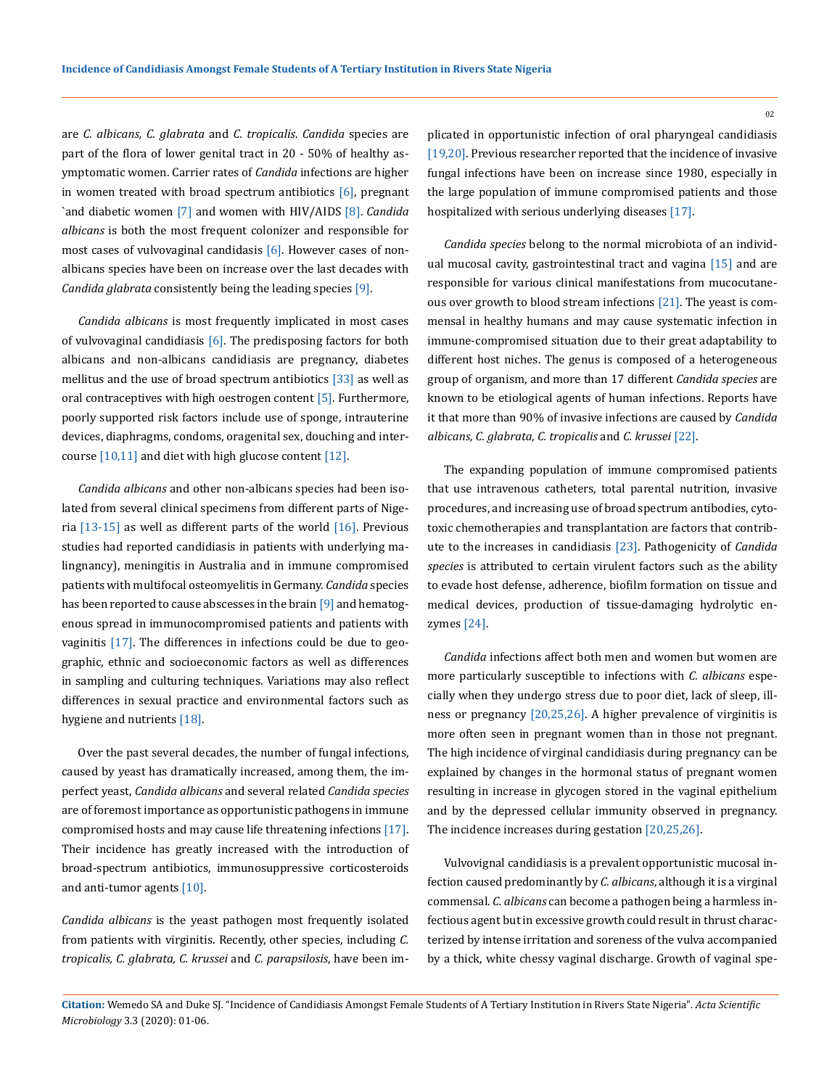are *C. albicans, C. glabrata* and *C. tropicalis*. *Candida* species are part of the flora of lower genital tract in 20 - 50% of healthy asymptomatic women. Carrier rates of *Candida* infections are higher in women treated with broad spectrum antibiotics  $[6]$ , pregnant `and diabetic women [7] and women with HIV/AIDS [8]. *Candida albicans* is both the most frequent colonizer and responsible for most cases of vulvovaginal candidasis [6]. However cases of nonalbicans species have been on increase over the last decades with *Candida glabrata* consistently being the leading species [9].

*Candida albicans* is most frequently implicated in most cases of vulvovaginal candidiasis  $[6]$ . The predisposing factors for both albicans and non-albicans candidiasis are pregnancy, diabetes mellitus and the use of broad spectrum antibiotics [33] as well as oral contraceptives with high oestrogen content [5]. Furthermore, poorly supported risk factors include use of sponge, intrauterine devices, diaphragms, condoms, oragenital sex, douching and intercourse [10,11] and diet with high glucose content [12].

*Candida albicans* and other non-albicans species had been isolated from several clinical specimens from different parts of Nigeria [13-15] as well as different parts of the world [16]. Previous studies had reported candidiasis in patients with underlying malingnancy), meningitis in Australia and in immune compromised patients with multifocal osteomyelitis in Germany. *Candida* species has been reported to cause abscesses in the brain [9] and hematogenous spread in immunocompromised patients and patients with vaginitis [17]. The differences in infections could be due to geographic, ethnic and socioeconomic factors as well as differences in sampling and culturing techniques. Variations may also reflect differences in sexual practice and environmental factors such as hygiene and nutrients [18].

Over the past several decades, the number of fungal infections, caused by yeast has dramatically increased, among them, the imperfect yeast, *Candida albicans* and several related *Candida species* are of foremost importance as opportunistic pathogens in immune compromised hosts and may cause life threatening infections [17]. Their incidence has greatly increased with the introduction of broad-spectrum antibiotics, immunosuppressive corticosteroids and anti-tumor agents [10].

*Candida albicans* is the yeast pathogen most frequently isolated from patients with virginitis. Recently, other species, including *C. tropicalis, C. glabrata, C. krussei* and *C. parapsilosis*, have been implicated in opportunistic infection of oral pharyngeal candidiasis [19,20]. Previous researcher reported that the incidence of invasive fungal infections have been on increase since 1980, especially in the large population of immune compromised patients and those hospitalized with serious underlying diseases [17].

*Candida species* belong to the normal microbiota of an individual mucosal cavity, gastrointestinal tract and vagina [15] and are responsible for various clinical manifestations from mucocutaneous over growth to blood stream infections [21]. The yeast is commensal in healthy humans and may cause systematic infection in immune-compromised situation due to their great adaptability to different host niches. The genus is composed of a heterogeneous group of organism, and more than 17 different *Candida species* are known to be etiological agents of human infections. Reports have it that more than 90% of invasive infections are caused by *Candida albicans, C. glabrata*, *C. tropicalis* and *C. krussei* [22].

The expanding population of immune compromised patients that use intravenous catheters, total parental nutrition, invasive procedures, and increasing use of broad spectrum antibodies, cytotoxic chemotherapies and transplantation are factors that contribute to the increases in candidiasis [23]. Pathogenicity of *Candida species* is attributed to certain virulent factors such as the ability to evade host defense, adherence, biofilm formation on tissue and medical devices, production of tissue-damaging hydrolytic enzymes [24].

*Candida* infections affect both men and women but women are more particularly susceptible to infections with *C. albicans* especially when they undergo stress due to poor diet, lack of sleep, illness or pregnancy [20,25,26]. A higher prevalence of virginitis is more often seen in pregnant women than in those not pregnant. The high incidence of virginal candidiasis during pregnancy can be explained by changes in the hormonal status of pregnant women resulting in increase in glycogen stored in the vaginal epithelium and by the depressed cellular immunity observed in pregnancy. The incidence increases during gestation [20,25,26].

Vulvovignal candidiasis is a prevalent opportunistic mucosal infection caused predominantly by *C. albicans*, although it is a virginal commensal. *C. albicans* can become a pathogen being a harmless infectious agent but in excessive growth could result in thrust characterized by intense irritation and soreness of the vulva accompanied by a thick, white chessy vaginal discharge. Growth of vaginal spe-

**Citation:** Wemedo SA and Duke SJ*.* "Incidence of Candidiasis Amongst Female Students of A Tertiary Institution in Rivers State Nigeria". *Acta Scientific Microbiology* 3.3 (2020): 01-06.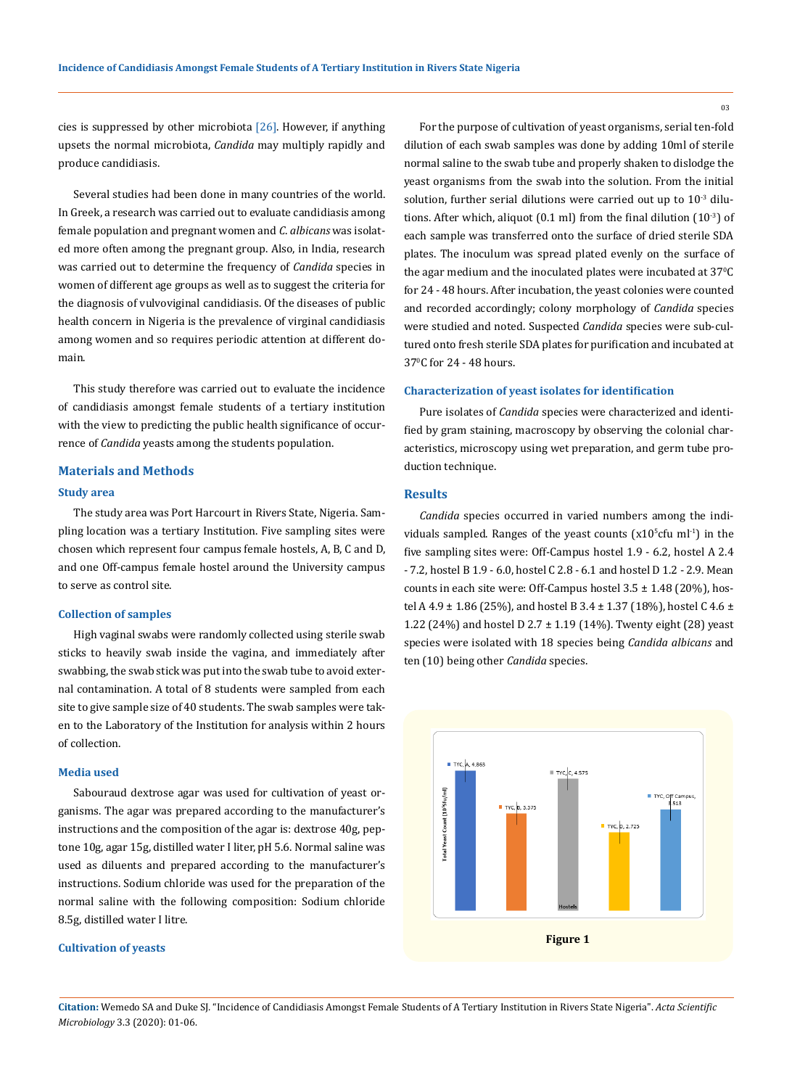cies is suppressed by other microbiota  $[26]$ . However, if anything upsets the normal microbiota, *Candida* may multiply rapidly and produce candidiasis.

Several studies had been done in many countries of the world. In Greek, a research was carried out to evaluate candidiasis among female population and pregnant women and *C*. *albicans* was isolated more often among the pregnant group. Also, in India, research was carried out to determine the frequency of *Candida* species in women of different age groups as well as to suggest the criteria for the diagnosis of vulvoviginal candidiasis. Of the diseases of public health concern in Nigeria is the prevalence of virginal candidiasis among women and so requires periodic attention at different domain.

This study therefore was carried out to evaluate the incidence of candidiasis amongst female students of a tertiary institution with the view to predicting the public health significance of occurrence of *Candida* yeasts among the students population.

## **Materials and Methods**

#### **Study area**

The study area was Port Harcourt in Rivers State, Nigeria. Sampling location was a tertiary Institution. Five sampling sites were chosen which represent four campus female hostels, A, B, C and D, and one Off-campus female hostel around the University campus to serve as control site.

#### **Collection of samples**

High vaginal swabs were randomly collected using sterile swab sticks to heavily swab inside the vagina, and immediately after swabbing, the swab stick was put into the swab tube to avoid external contamination. A total of 8 students were sampled from each site to give sample size of 40 students. The swab samples were taken to the Laboratory of the Institution for analysis within 2 hours of collection.

### **Media used**

Sabouraud dextrose agar was used for cultivation of yeast organisms. The agar was prepared according to the manufacturer's instructions and the composition of the agar is: dextrose 40g, peptone 10g, agar 15g, distilled water I liter, pH 5.6. Normal saline was used as diluents and prepared according to the manufacturer's instructions. Sodium chloride was used for the preparation of the normal saline with the following composition: Sodium chloride 8.5g, distilled water I litre.

### **Cultivation of yeasts**

For the purpose of cultivation of yeast organisms, serial ten-fold dilution of each swab samples was done by adding 10ml of sterile normal saline to the swab tube and properly shaken to dislodge the yeast organisms from the swab into the solution. From the initial solution, further serial dilutions were carried out up to 10-3 dilutions. After which, aliquot (0.1 ml) from the final dilution (10-3) of each sample was transferred onto the surface of dried sterile SDA plates. The inoculum was spread plated evenly on the surface of the agar medium and the inoculated plates were incubated at  $37^\circ\text{C}$ for 24 - 48 hours. After incubation, the yeast colonies were counted and recorded accordingly; colony morphology of *Candida* species were studied and noted. Suspected *Candida* species were sub-cultured onto fresh sterile SDA plates for purification and incubated at 370 C for 24 - 48 hours.

#### **Characterization of yeast isolates for identification**

Pure isolates of *Candida* species were characterized and identified by gram staining, macroscopy by observing the colonial characteristics, microscopy using wet preparation, and germ tube production technique.

#### **Results**

*Candida* species occurred in varied numbers among the individuals sampled. Ranges of the yeast counts  $(x10<sup>5</sup>c$ fu ml<sup>-1</sup>) in the five sampling sites were: Off-Campus hostel 1.9 - 6.2, hostel A 2.4 - 7.2, hostel B 1.9 - 6.0, hostel C 2.8 - 6.1 and hostel D 1.2 - 2.9. Mean counts in each site were: Off-Campus hostel  $3.5 \pm 1.48$  (20%), hostel A 4.9 ± 1.86 (25%), and hostel B 3.4 ± 1.37 (18%), hostel C 4.6 ± 1.22 (24%) and hostel D 2.7  $\pm$  1.19 (14%). Twenty eight (28) yeast species were isolated with 18 species being *Candida albicans* and ten (10) being other *Candida* species.



**Citation:** Wemedo SA and Duke SJ*.* "Incidence of Candidiasis Amongst Female Students of A Tertiary Institution in Rivers State Nigeria". *Acta Scientific Microbiology* 3.3 (2020): 01-06.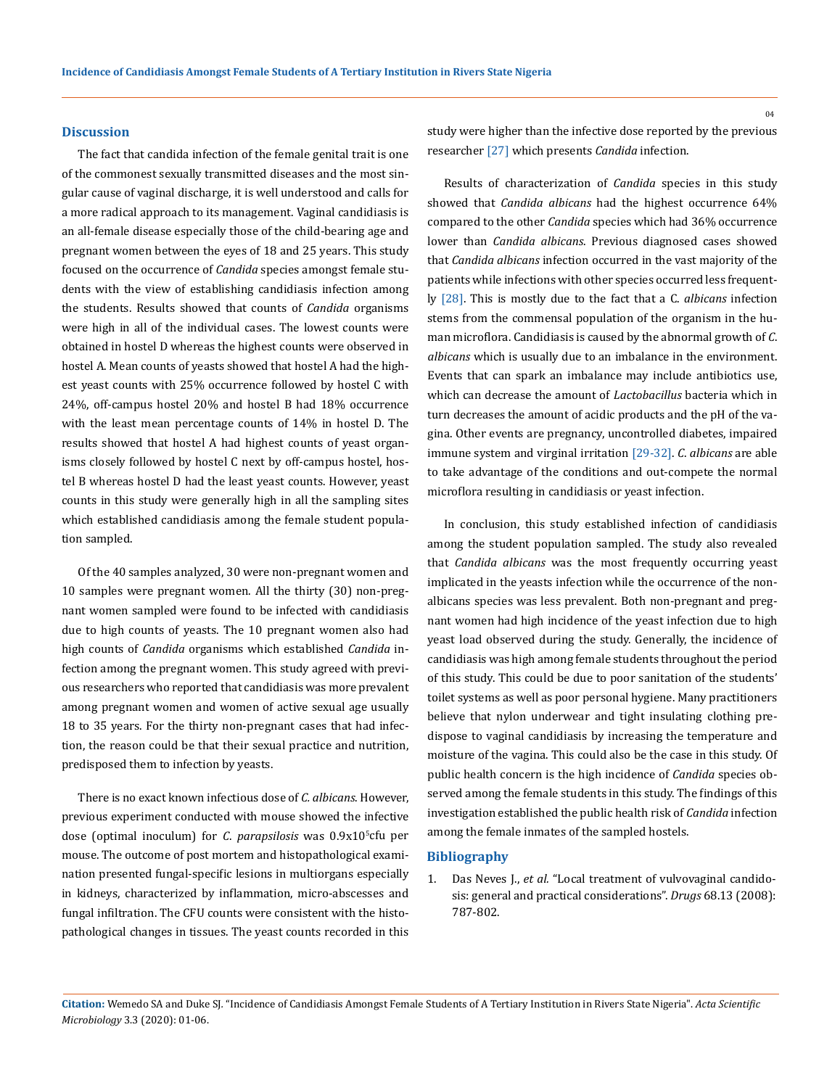### **Discussion**

The fact that candida infection of the female genital trait is one of the commonest sexually transmitted diseases and the most singular cause of vaginal discharge, it is well understood and calls for a more radical approach to its management. Vaginal candidiasis is an all-female disease especially those of the child-bearing age and pregnant women between the eyes of 18 and 25 years. This study focused on the occurrence of *Candida* species amongst female students with the view of establishing candidiasis infection among the students. Results showed that counts of *Candida* organisms were high in all of the individual cases. The lowest counts were obtained in hostel D whereas the highest counts were observed in hostel A. Mean counts of yeasts showed that hostel A had the highest yeast counts with 25% occurrence followed by hostel C with 24%, off-campus hostel 20% and hostel B had 18% occurrence with the least mean percentage counts of 14% in hostel D. The results showed that hostel A had highest counts of yeast organisms closely followed by hostel C next by off-campus hostel, hostel B whereas hostel D had the least yeast counts. However, yeast counts in this study were generally high in all the sampling sites which established candidiasis among the female student population sampled.

Of the 40 samples analyzed, 30 were non-pregnant women and 10 samples were pregnant women. All the thirty (30) non-pregnant women sampled were found to be infected with candidiasis due to high counts of yeasts. The 10 pregnant women also had high counts of *Candida* organisms which established *Candida* infection among the pregnant women. This study agreed with previous researchers who reported that candidiasis was more prevalent among pregnant women and women of active sexual age usually 18 to 35 years. For the thirty non-pregnant cases that had infection, the reason could be that their sexual practice and nutrition, predisposed them to infection by yeasts.

There is no exact known infectious dose of *C. albicans*. However, previous experiment conducted with mouse showed the infective dose (optimal inoculum) for *C*. *parapsilosis* was 0.9x105 cfu per mouse. The outcome of post mortem and histopathological examination presented fungal-specific lesions in multiorgans especially in kidneys, characterized by inflammation, micro-abscesses and fungal infiltration. The CFU counts were consistent with the histopathological changes in tissues. The yeast counts recorded in this study were higher than the infective dose reported by the previous researcher [27] which presents *Candida* infection.

Results of characterization of *Candida* species in this study showed that *Candida albicans* had the highest occurrence 64% compared to the other *Candida* species which had 36% occurrence lower than *Candida albicans*. Previous diagnosed cases showed that *Candida albicans* infection occurred in the vast majority of the patients while infections with other species occurred less frequently [28]. This is mostly due to the fact that a C. *albicans* infection stems from the commensal population of the organism in the human microflora. Candidiasis is caused by the abnormal growth of *C*. *albicans* which is usually due to an imbalance in the environment. Events that can spark an imbalance may include antibiotics use, which can decrease the amount of *Lactobacillus* bacteria which in turn decreases the amount of acidic products and the pH of the vagina. Other events are pregnancy, uncontrolled diabetes, impaired immune system and virginal irritation [29-32]. *C*. *albicans* are able to take advantage of the conditions and out-compete the normal microflora resulting in candidiasis or yeast infection.

In conclusion, this study established infection of candidiasis among the student population sampled. The study also revealed that *Candida albicans* was the most frequently occurring yeast implicated in the yeasts infection while the occurrence of the nonalbicans species was less prevalent. Both non-pregnant and pregnant women had high incidence of the yeast infection due to high yeast load observed during the study. Generally, the incidence of candidiasis was high among female students throughout the period of this study. This could be due to poor sanitation of the students' toilet systems as well as poor personal hygiene. Many practitioners believe that nylon underwear and tight insulating clothing predispose to vaginal candidiasis by increasing the temperature and moisture of the vagina. This could also be the case in this study. Of public health concern is the high incidence of *Candida* species observed among the female students in this study. The findings of this investigation established the public health risk of *Candida* infection among the female inmates of the sampled hostels.

#### **Bibliography**

1. Das Neves J., *et al.* ["Local treatment of vulvovaginal candido](https://www.ncbi.nlm.nih.gov/pubmed/18729533)[sis: general and practical considerations".](https://www.ncbi.nlm.nih.gov/pubmed/18729533) *Drugs* 68.13 (2008): [787-802.](https://www.ncbi.nlm.nih.gov/pubmed/18729533)

 $04$ 

**Citation:** Wemedo SA and Duke SJ*.* "Incidence of Candidiasis Amongst Female Students of A Tertiary Institution in Rivers State Nigeria". *Acta Scientific Microbiology* 3.3 (2020): 01-06.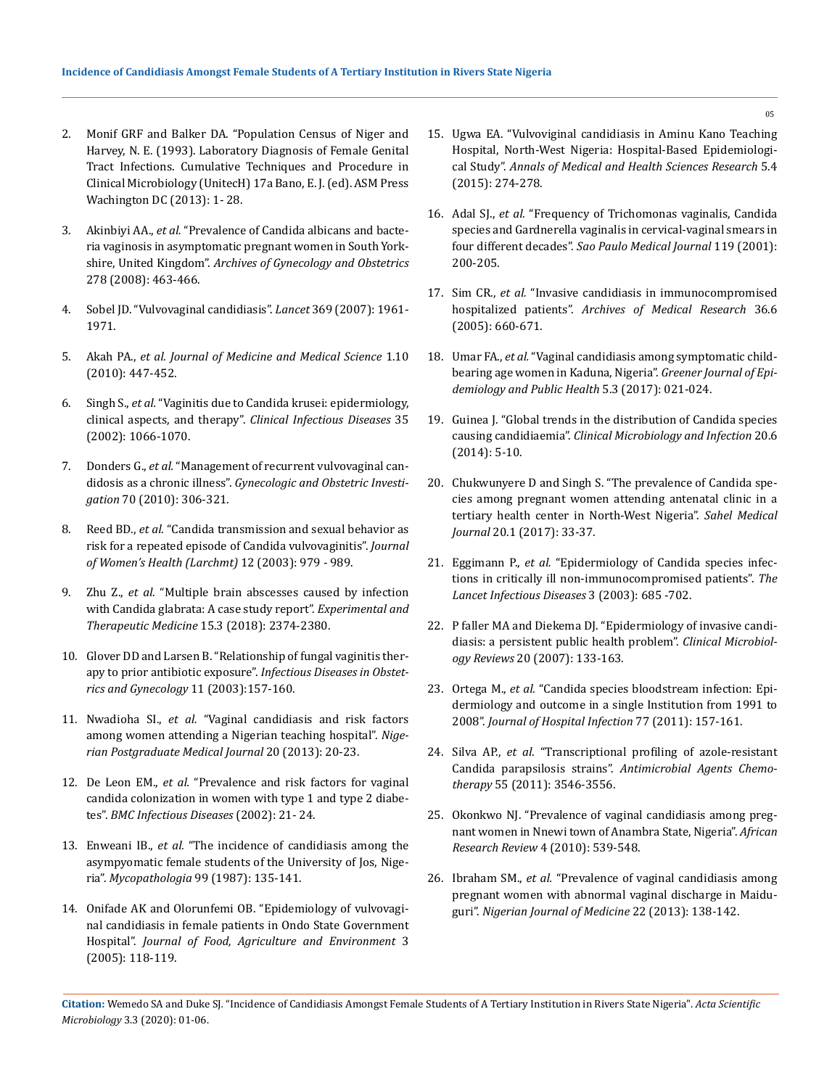- 2. Monif GRF and Balker DA. "Population Census of Niger and Harvey, N. E. (1993). Laboratory Diagnosis of Female Genital Tract Infections. Cumulative Techniques and Procedure in Clinical Microbiology (UnitecH) 17a Bano, E. J. (ed). ASM Press Wachington DC (2013): 1- 28.
- 3. Akinbiyi AA., *et al.* ["Prevalence of Candida albicans and bacte](https://link.springer.com/article/10.1007/s00404-008-0593-8)[ria vaginosis in asymptomatic pregnant women in South York](https://link.springer.com/article/10.1007/s00404-008-0593-8)shire, United Kingdom". *[Archives of Gynecology and Obstetrics](https://link.springer.com/article/10.1007/s00404-008-0593-8)*  [278 \(2008\): 463-466.](https://link.springer.com/article/10.1007/s00404-008-0593-8)
- 4. [Sobel JD. "Vulvovaginal candidiasis".](https://www.ncbi.nlm.nih.gov/pubmed/17560449) *Lancet* 369 (2007): 1961- [1971.](https://www.ncbi.nlm.nih.gov/pubmed/17560449)
- 5. Akah PA., *et al. Journal of Medicine and Medical Science* 1.10 (2010): 447-452.
- 6. Singh S., *et al.* ["Vaginitis due to Candida krusei: epidermiology,](https://academic.oup.com/cid/article/35/9/1066/330371)  clinical aspects, and therapy". *[Clinical Infectious Diseases](https://academic.oup.com/cid/article/35/9/1066/330371)* 35 [\(2002\): 1066-1070.](https://academic.oup.com/cid/article/35/9/1066/330371)
- 7. Donders G., *et al.* ["Management of recurrent vulvovaginal can](https://www.ncbi.nlm.nih.gov/pubmed/21051852)didosis as a chronic illness". *[Gynecologic and Obstetric Investi](https://www.ncbi.nlm.nih.gov/pubmed/21051852)gation* [70 \(2010\): 306-321.](https://www.ncbi.nlm.nih.gov/pubmed/21051852)
- 8. Reed BD., *et al.* ["Candida transmission and sexual behavior as](https://www.ncbi.nlm.nih.gov/pubmed/14709186)  [risk for a repeated episode of Candida vulvovaginitis".](https://www.ncbi.nlm.nih.gov/pubmed/14709186) *Journal [of Women's Health \(Larchmt\)](https://www.ncbi.nlm.nih.gov/pubmed/14709186)* 12 (2003): 979 - 989.
- 9. Zhu Z., *et al.* ["Multiple brain abscesses caused by infection](https://www.spandidos-publications.com/10.3892/etm.2018.5692)  [with Candida glabrata: A case study report".](https://www.spandidos-publications.com/10.3892/etm.2018.5692) *Experimental and [Therapeutic Medicine](https://www.spandidos-publications.com/10.3892/etm.2018.5692)* 15.3 (2018): 2374-2380.
- 10. [Glover DD and Larsen B. "Relationship of fungal vaginitis ther](https://www.ncbi.nlm.nih.gov/pubmed/15022876)apy to prior antibiotic exposure". *[Infectious Diseases in Obstet](https://www.ncbi.nlm.nih.gov/pubmed/15022876)[rics and Gynecology](https://www.ncbi.nlm.nih.gov/pubmed/15022876)* 11 (2003):157-160.
- 11. Nwadioha SI., *et al.* ["Vaginal candidiasis and risk factors](https://www.ncbi.nlm.nih.gov/pubmed/23661205)  [among women attending a Nigerian teaching hospital".](https://www.ncbi.nlm.nih.gov/pubmed/23661205) *Nige[rian Postgraduate Medical Journal](https://www.ncbi.nlm.nih.gov/pubmed/23661205)* 20 (2013): 20-23.
- 12. De Leon EM., *et al.* ["Prevalence and risk factors for vaginal](https://www.ncbi.nlm.nih.gov/pmc/articles/PMC65518/)  [candida colonization in women with type 1 and type 2 diabe](https://www.ncbi.nlm.nih.gov/pmc/articles/PMC65518/)tes". *[BMC Infectious Diseases](https://www.ncbi.nlm.nih.gov/pmc/articles/PMC65518/)* (2002): 21- 24.
- 13. Enweani IB., *et al.* ["The incidence of candidiasis among the](https://www.ncbi.nlm.nih.gov/pubmed/3657907)  [asympyomatic female students of the University of Jos, Nige](https://www.ncbi.nlm.nih.gov/pubmed/3657907)ria". *Mycopathologia* [99 \(1987\): 135-141.](https://www.ncbi.nlm.nih.gov/pubmed/3657907)
- 14. [Onifade AK and Olorunfemi OB. "Epidemiology of vulvovagi](http://agris.fao.org/agris-search/search.do?recordID=FI2005025528)[nal candidiasis in female patients in Ondo State Government](http://agris.fao.org/agris-search/search.do?recordID=FI2005025528)  Hospital". *[Journal of Food, Agriculture and Environment](http://agris.fao.org/agris-search/search.do?recordID=FI2005025528)* 3 [\(2005\): 118-119.](http://agris.fao.org/agris-search/search.do?recordID=FI2005025528)
- 15. [Ugwa EA. "Vulvoviginal candidiasis in Aminu Kano Teaching](https://www.ncbi.nlm.nih.gov/pmc/articles/PMC4512120/)  [Hospital, North-West Nigeria: Hospital-Based Epidemiologi](https://www.ncbi.nlm.nih.gov/pmc/articles/PMC4512120/)cal Study". *[Annals of Medical and Health Sciences Research](https://www.ncbi.nlm.nih.gov/pmc/articles/PMC4512120/)* 5.4 [\(2015\): 274-278.](https://www.ncbi.nlm.nih.gov/pmc/articles/PMC4512120/)
- 16. Adal SJ., *et al.* ["Frequency of Trichomonas vaginalis, Candida](https://www.ncbi.nlm.nih.gov/pubmed/11723534)  [species and Gardnerella vaginalis in cervical-vaginal smears in](https://www.ncbi.nlm.nih.gov/pubmed/11723534)  four different decades". *[Sao Paulo Medical Journal](https://www.ncbi.nlm.nih.gov/pubmed/11723534)* 119 (2001): [200-205.](https://www.ncbi.nlm.nih.gov/pubmed/11723534)
- 17. Sim CR., *et al.* ["Invasive candidiasis in immunocompromised](https://www.sciencedirect.com/science/article/abs/pii/S0188440905002389)  hospitalized patients". *[Archives of Medical Research](https://www.sciencedirect.com/science/article/abs/pii/S0188440905002389)* 36.6 [\(2005\): 660-671.](https://www.sciencedirect.com/science/article/abs/pii/S0188440905002389)
- 18. Umar FA., *et al.* ["Vaginal candidiasis among symptomatic child](https://www.researchgate.net/publication/318076151_Vaginal_Candidiasis_among_Symptomatic_Childbearing_Age_Women_in_Kaduna_Nigeria)[bearing age women in Kaduna, Nigeria".](https://www.researchgate.net/publication/318076151_Vaginal_Candidiasis_among_Symptomatic_Childbearing_Age_Women_in_Kaduna_Nigeria) *Greener Journal of Epi[demiology and Public Health](https://www.researchgate.net/publication/318076151_Vaginal_Candidiasis_among_Symptomatic_Childbearing_Age_Women_in_Kaduna_Nigeria)* 5.3 (2017): 021-024.
- 19. [Guinea J. "Global trends in the distribution of Candida species](https://www.ncbi.nlm.nih.gov/pubmed/24506442)  causing candidiaemia". *[Clinical Microbiology and Infection](https://www.ncbi.nlm.nih.gov/pubmed/24506442)* 20.6 [\(2014\): 5-10.](https://www.ncbi.nlm.nih.gov/pubmed/24506442)
- 20. Chukwunyere D and Singh S. "The prevalence of Candida species among pregnant women attending antenatal clinic in a tertiary health center in North-West Nigeria". *Sahel Medical Journal* 20.1 (2017): 33-37.
- 21. Eggimann P., *et al.* ["Epidermiology of Candida species infec](https://www.thelancet.com/journals/laninf/article/PIIS1473309903008016/fulltext)[tions in critically ill non-immunocompromised patients".](https://www.thelancet.com/journals/laninf/article/PIIS1473309903008016/fulltext) *The [Lancet Infectious Diseases](https://www.thelancet.com/journals/laninf/article/PIIS1473309903008016/fulltext)* 3 (2003): 685 -702.
- 22. [P faller MA and Diekema DJ. "Epidermiology of invasive candi](https://www.ncbi.nlm.nih.gov/pubmed/17223626)[diasis: a persistent public health problem".](https://www.ncbi.nlm.nih.gov/pubmed/17223626) *Clinical Microbiology Reviews* [20 \(2007\): 133-163.](https://www.ncbi.nlm.nih.gov/pubmed/17223626)
- 23. Ortega M., *et al.* ["Candida species bloodstream infection: Epi](https://www.ncbi.nlm.nih.gov/pubmed/21216030)[dermiology and outcome in a single Institution from 1991 to](https://www.ncbi.nlm.nih.gov/pubmed/21216030)  2008". *[Journal of Hospital Infection](https://www.ncbi.nlm.nih.gov/pubmed/21216030)* 77 (2011): 157-161.
- 24. Silva AP., *et al.* ["Transcriptional profiling of azole-resistant](https://aac.asm.org/content/55/7/3546)  Candida parapsilosis strains". *[Antimicrobial Agents Chemo](https://aac.asm.org/content/55/7/3546)therapy* [55 \(2011\): 3546-3556.](https://aac.asm.org/content/55/7/3546)
- 25. [Okonkwo NJ. "Prevalence of vaginal candidiasis among preg](https://www.ajol.info/index.php/afrrev/article/view/69250)[nant women in Nnewi town of Anambra State, Nigeria".](https://www.ajol.info/index.php/afrrev/article/view/69250) *African [Research Review](https://www.ajol.info/index.php/afrrev/article/view/69250)* 4 (2010): 539-548.
- 26. Ibraham SM., *et al.* ["Prevalence of vaginal candidiasis among](https://www.researchgate.net/publication/247154145_Prevalence_of_vaginal_candidiasis_among_pregnant_women_with_abnormal_vaginal_discharge_in_Maiduguri)  [pregnant women with abnormal vaginal discharge in Maidu](https://www.researchgate.net/publication/247154145_Prevalence_of_vaginal_candidiasis_among_pregnant_women_with_abnormal_vaginal_discharge_in_Maiduguri)guri". *[Nigerian Journal of Medicine](https://www.researchgate.net/publication/247154145_Prevalence_of_vaginal_candidiasis_among_pregnant_women_with_abnormal_vaginal_discharge_in_Maiduguri)* 22 (2013): 138-142.

05

**Citation:** Wemedo SA and Duke SJ*.* "Incidence of Candidiasis Amongst Female Students of A Tertiary Institution in Rivers State Nigeria". *Acta Scientific Microbiology* 3.3 (2020): 01-06.